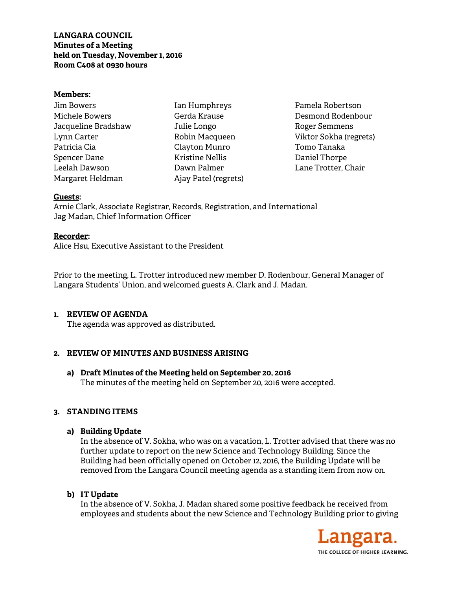# **LANGARA COUNCIL Minutes of a Meeting held on Tuesday, November 1, 2016 Room C408 at 0930 hours**

## **Members:**

| <b>Jim Bowers</b>   |
|---------------------|
| Michele Bowers      |
| Jacqueline Bradshaw |
| Lynn Carter         |
| Patricia Cia        |
| Spencer Dane        |
| Leelah Dawson       |
| Margaret Heldman    |

Ian Humphreys Gerda Krause Julie Longo Robin Macqueen Clayton Munro Kristine Nellis Dawn Palmer Ajay Patel (regrets)

Pamela Robertson Desmond Rodenbour Roger Semmens Viktor Sokha (regrets) Tomo Tanaka Daniel Thorpe Lane Trotter, Chair

## **Guests:**

Arnie Clark, Associate Registrar, Records, Registration, and International Jag Madan, Chief Information Officer

## **Recorder:**

Alice Hsu, Executive Assistant to the President

Prior to the meeting, L. Trotter introduced new member D. Rodenbour, General Manager of Langara Students' Union, and welcomed guests A. Clark and J. Madan.

## **1. REVIEW OF AGENDA**

The agenda was approved as distributed.

# **2. REVIEW OF MINUTES AND BUSINESS ARISING**

**a) Draft Minutes of the Meeting held on September 20, 2016**  The minutes of the meeting held on September 20, 2016 were accepted.

# **3. STANDING ITEMS**

**a) Building Update** 

In the absence of V. Sokha, who was on a vacation, L. Trotter advised that there was no further update to report on the new Science and Technology Building. Since the Building had been officially opened on October 12, 2016, the Building Update will be removed from the Langara Council meeting agenda as a standing item from now on.

## **b) IT Update**

In the absence of V. Sokha, J. Madan shared some positive feedback he received from employees and students about the new Science and Technology Building prior to giving

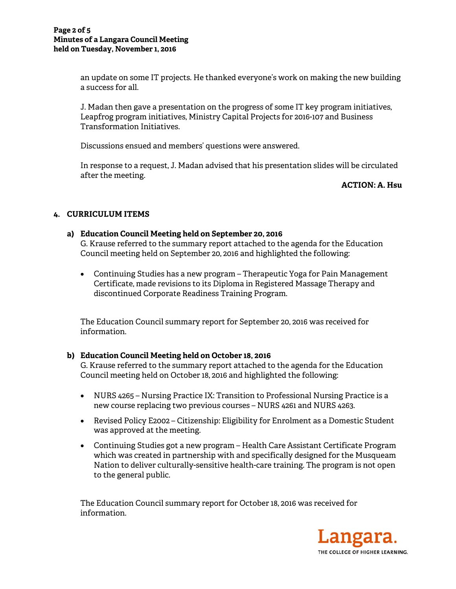an update on some IT projects. He thanked everyone's work on making the new building a success for all.

J. Madan then gave a presentation on the progress of some IT key program initiatives, Leapfrog program initiatives, Ministry Capital Projects for 2016-107 and Business Transformation Initiatives.

Discussions ensued and members' questions were answered.

In response to a request, J. Madan advised that his presentation slides will be circulated after the meeting.

## **ACTION: A. Hsu**

# **4. CURRICULUM ITEMS**

# **a) Education Council Meeting held on September 20, 2016**

G. Krause referred to the summary report attached to the agenda for the Education Council meeting held on September 20, 2016 and highlighted the following:

 Continuing Studies has a new program – Therapeutic Yoga for Pain Management Certificate, made revisions to its Diploma in Registered Massage Therapy and discontinued Corporate Readiness Training Program.

The Education Council summary report for September 20, 2016 was received for information.

# **b) Education Council Meeting held on October 18, 2016**

G. Krause referred to the summary report attached to the agenda for the Education Council meeting held on October 18, 2016 and highlighted the following:

- NURS 4265 Nursing Practice IX: Transition to Professional Nursing Practice is a new course replacing two previous courses – NURS 4261 and NURS 4263.
- Revised Policy E2002 Citizenship: Eligibility for Enrolment as a Domestic Student was approved at the meeting.
- Continuing Studies got a new program Health Care Assistant Certificate Program which was created in partnership with and specifically designed for the Musqueam Nation to deliver culturally-sensitive health-care training. The program is not open to the general public.

The Education Council summary report for October 18, 2016 was received for information.

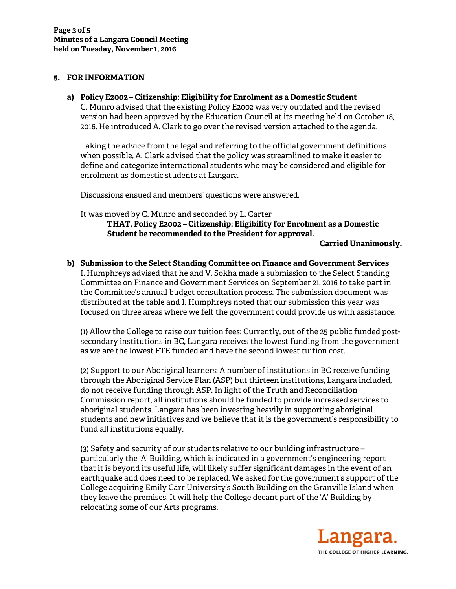## **5. FOR INFORMATION**

**a) Policy E2002 – Citizenship: Eligibility for Enrolment as a Domestic Student**  C. Munro advised that the existing Policy E2002 was very outdated and the revised version had been approved by the Education Council at its meeting held on October 18, 2016. He introduced A. Clark to go over the revised version attached to the agenda.

Taking the advice from the legal and referring to the official government definitions when possible, A. Clark advised that the policy was streamlined to make it easier to define and categorize international students who may be considered and eligible for enrolment as domestic students at Langara.

Discussions ensued and members' questions were answered.

It was moved by C. Munro and seconded by L. Carter **THAT, Policy E2002 – Citizenship: Eligibility for Enrolment as a Domestic Student be recommended to the President for approval.** 

**Carried Unanimously.** 

**b) Submission to the Select Standing Committee on Finance and Government Services**  I. Humphreys advised that he and V. Sokha made a submission to the Select Standing Committee on Finance and Government Services on September 21, 2016 to take part in the Committee's annual budget consultation process. The submission document was distributed at the table and I. Humphreys noted that our submission this year was focused on three areas where we felt the government could provide us with assistance:

(1) Allow the College to raise our tuition fees: Currently, out of the 25 public funded postsecondary institutions in BC, Langara receives the lowest funding from the government as we are the lowest FTE funded and have the second lowest tuition cost.

(2) Support to our Aboriginal learners: A number of institutions in BC receive funding through the Aboriginal Service Plan (ASP) but thirteen institutions, Langara included, do not receive funding through ASP. In light of the Truth and Reconciliation Commission report, all institutions should be funded to provide increased services to aboriginal students. Langara has been investing heavily in supporting aboriginal students and new initiatives and we believe that it is the government's responsibility to fund all institutions equally.

(3) Safety and security of our students relative to our building infrastructure – particularly the 'A' Building, which is indicated in a government's engineering report that it is beyond its useful life, will likely suffer significant damages in the event of an earthquake and does need to be replaced. We asked for the government's support of the College acquiring Emily Carr University's South Building on the Granville Island when they leave the premises. It will help the College decant part of the 'A' Building by relocating some of our Arts programs.

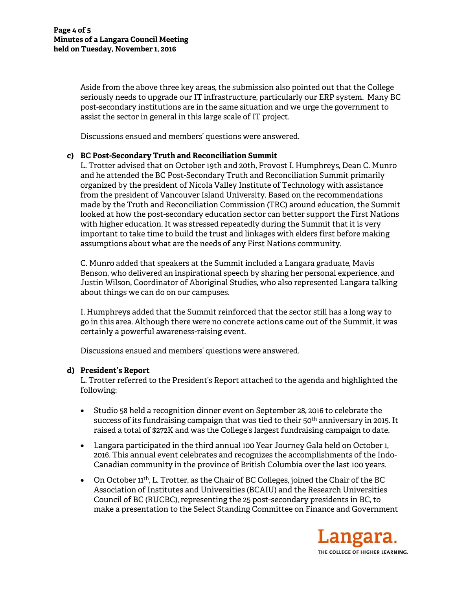Aside from the above three key areas, the submission also pointed out that the College seriously needs to upgrade our IT infrastructure, particularly our ERP system. Many BC post-secondary institutions are in the same situation and we urge the government to assist the sector in general in this large scale of IT project.

Discussions ensued and members' questions were answered.

## **c) BC Post-Secondary Truth and Reconciliation Summit**

L. Trotter advised that on October 19th and 20th, Provost I. Humphreys, Dean C. Munro and he attended the BC Post-Secondary Truth and Reconciliation Summit primarily organized by the president of Nicola Valley Institute of Technology with assistance from the president of Vancouver Island University. Based on the recommendations made by the Truth and Reconciliation Commission (TRC) around education, the Summit looked at how the post-secondary education sector can better support the First Nations with higher education. It was stressed repeatedly during the Summit that it is very important to take time to build the trust and linkages with elders first before making assumptions about what are the needs of any First Nations community.

C. Munro added that speakers at the Summit included a Langara graduate, Mavis Benson, who delivered an inspirational speech by sharing her personal experience, and Justin Wilson, Coordinator of Aboriginal Studies, who also represented Langara talking about things we can do on our campuses.

I. Humphreys added that the Summit reinforced that the sector still has a long way to go in this area. Although there were no concrete actions came out of the Summit, it was certainly a powerful awareness-raising event.

Discussions ensued and members' questions were answered.

## **d) President's Report**

L. Trotter referred to the President's Report attached to the agenda and highlighted the following:

- Studio 58 held a recognition dinner event on September 28, 2016 to celebrate the success of its fundraising campaign that was tied to their 50<sup>th</sup> anniversary in 2015. It raised a total of \$272K and was the College's largest fundraising campaign to date.
- Langara participated in the third annual 100 Year Journey Gala held on October 1, 2016. This annual event celebrates and recognizes the accomplishments of the Indo-Canadian community in the province of British Columbia over the last 100 years.
- On October  $11<sup>th</sup>$ , L. Trotter, as the Chair of BC Colleges, joined the Chair of the BC Association of Institutes and Universities (BCAIU) and the Research Universities Council of BC (RUCBC), representing the 25 post-secondary presidents in BC, to make a presentation to the Select Standing Committee on Finance and Government